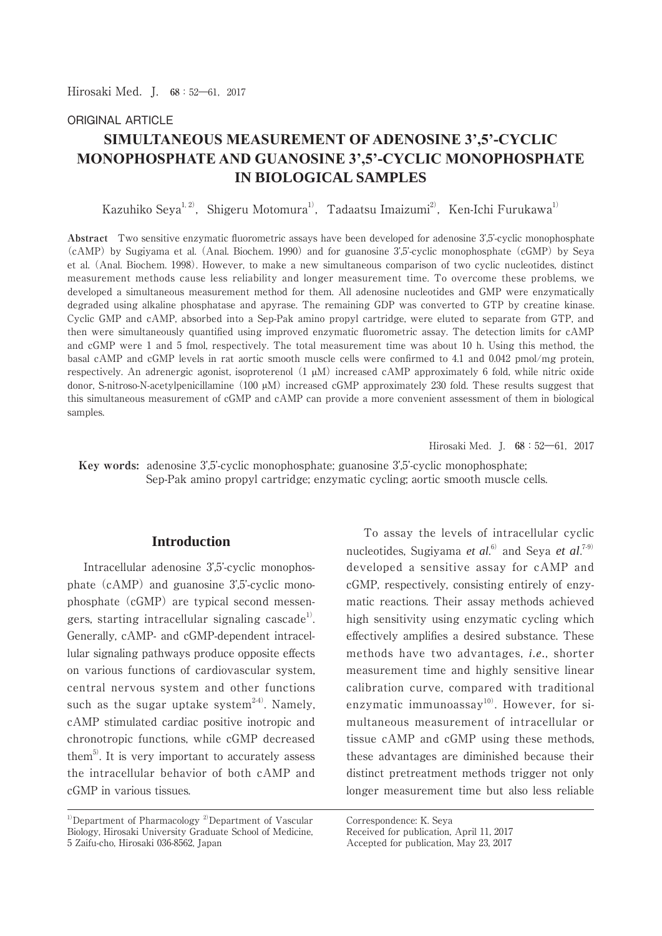Hirosaki Med.J. **68**:52―61,2017

## ORIGINAL ARTICLE

# **SIMULTANEOUS MEASUREMENT OF ADENOSINE 3',5'-CYCLIC MONOPHOSPHATE AND GUANOSINE 3',5'-CYCLIC MONOPHOSPHATE IN BIOLOGICAL SAMPLES**

Kazuhiko Seva<sup>1, 2)</sup>, Shigeru Motomura<sup>1)</sup>, Tadaatsu Imaizumi<sup>2)</sup>, Ken-Ichi Furukawa<sup>1)</sup>

**Abstract** Two sensitive enzymatic fluorometric assays have been developed for adenosine 3',5'-cyclic monophosphate (cAMP) by Sugiyama et al. (Anal. Biochem. 1990) and for guanosine 3',5'-cyclic monophosphate (cGMP) by Seya et al. (Anal. Biochem. 1998). However, to make a new simultaneous comparison of two cyclic nucleotides, distinct measurement methods cause less reliability and longer measurement time. To overcome these problems, we developed a simultaneous measurement method for them. All adenosine nucleotides and GMP were enzymatically degraded using alkaline phosphatase and apyrase. The remaining GDP was converted to GTP by creatine kinase. Cyclic GMP and cAMP, absorbed into a Sep-Pak amino propyl cartridge, were eluted to separate from GTP, and then were simultaneously quantified using improved enzymatic fluorometric assay. The detection limits for cAMP and cGMP were 1 and 5 fmol, respectively. The total measurement time was about 10 h. Using this method, the basal cAMP and cGMP levels in rat aortic smooth muscle cells were confirmed to 4.1 and 0.042 pmol/mg protein, respectively. An adrenergic agonist, isoproterenol  $(1 \mu M)$  increased cAMP approximately 6 fold, while nitric oxide donor, S-nitroso-N-acetylpenicillamine (100  $\mu$ M) increased cGMP approximately 230 fold. These results suggest that this simultaneous measurement of cGMP and cAMP can provide a more convenient assessment of them in biological samples.

Hirosaki Med. I.  $68:52-61$ , 2017

 **Key words:** adenosine 3',5'-cyclic monophosphate; guanosine 3',5'-cyclic monophosphate; Sep-Pak amino propyl cartridge; enzymatic cycling; aortic smooth muscle cells.

## **Introduction**

 Intracellular adenosine 3',5'-cyclic monophosphate (cAMP) and guanosine 3',5'-cyclic monophosphate (cGMP) are typical second messengers, starting intracellular signaling cascade<sup>1</sup>. Generally, cAMP- and cGMP-dependent intracellular signaling pathways produce opposite effects on various functions of cardiovascular system, central nervous system and other functions such as the sugar uptake system<sup>2-4)</sup>. Namely, cAMP stimulated cardiac positive inotropic and chronotropic functions, while cGMP decreased them<sup>5)</sup>. It is very important to accurately assess the intracellular behavior of both cAMP and cGMP in various tissues.

 To assay the levels of intracellular cyclic nucleotides, Sugiyama *et al.*<sup>6)</sup> and Seya *et al.*<sup>7-9)</sup> developed a sensitive assay for cAMP and cGMP, respectively, consisting entirely of enzymatic reactions. Their assay methods achieved high sensitivity using enzymatic cycling which effectively amplifies a desired substance. These methods have two advantages, *i.e.*, shorter measurement time and highly sensitive linear calibration curve, compared with traditional enzymatic immunoassay<sup>10</sup>. However, for simultaneous measurement of intracellular or tissue cAMP and cGMP using these methods, these advantages are diminished because their distinct pretreatment methods trigger not only longer measurement time but also less reliable

Correspondence: K. Seya

<sup>&</sup>lt;sup>1)</sup>Department of Pharmacology<sup>2)</sup>Department of Vascular Biology, Hirosaki University Graduate School of Medicine, 5 Zaifu-cho, Hirosaki 036-8562, Japan

Received for publication, April 11, 2017

Accepted for publication, May 23, 2017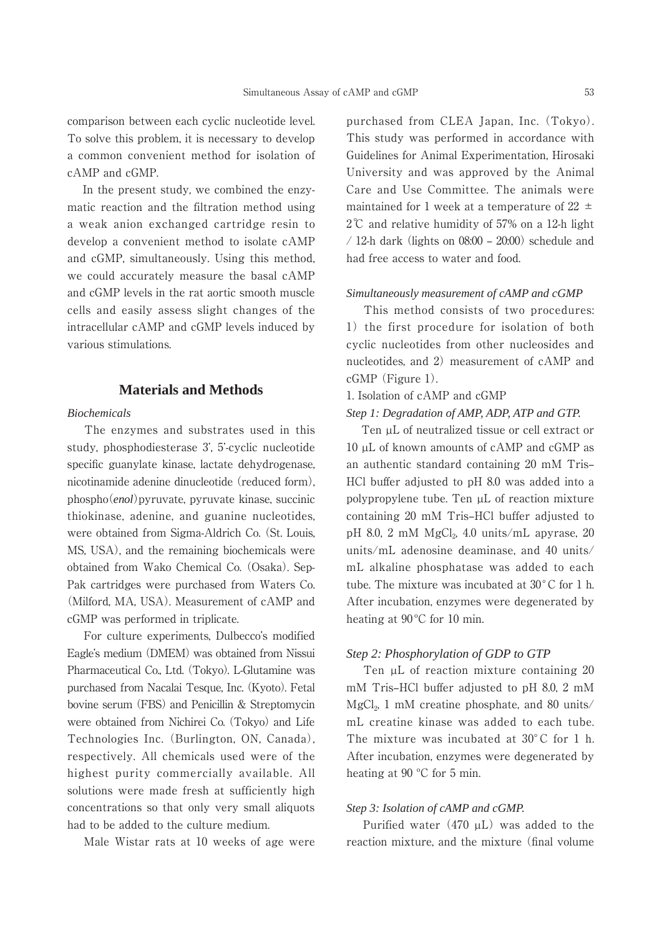comparison between each cyclic nucleotide level. To solve this problem, it is necessary to develop a common convenient method for isolation of cAMP and cGMP.

 In the present study, we combined the enzymatic reaction and the filtration method using a weak anion exchanged cartridge resin to develop a convenient method to isolate cAMP and cGMP, simultaneously. Using this method, we could accurately measure the basal cAMP and cGMP levels in the rat aortic smooth muscle cells and easily assess slight changes of the intracellular cAMP and cGMP levels induced by various stimulations.

## **Materials and Methods**

#### *Biochemicals*

 The enzymes and substrates used in this study, phosphodiesterase 3', 5'-cyclic nucleotide specific guanylate kinase, lactate dehydrogenase, nicotinamide adenine dinucleotide (reduced form), phospho(*enol*)pyruvate, pyruvate kinase, succinic thiokinase, adenine, and guanine nucleotides, were obtained from Sigma-Aldrich Co. (St. Louis, MS, USA), and the remaining biochemicals were obtained from Wako Chemical Co. (Osaka). Sep-Pak cartridges were purchased from Waters Co. (Milford, MA, USA). Measurement of cAMP and cGMP was performed in triplicate.

 For culture experiments, Dulbecco's modified Eagle's medium (DMEM) was obtained from Nissui Pharmaceutical Co., Ltd. (Tokyo). L-Glutamine was purchased from Nacalai Tesque, Inc. (Kyoto). Fetal bovine serum (FBS) and Penicillin & Streptomycin were obtained from Nichirei Co. (Tokyo) and Life Technologies Inc. (Burlington, ON, Canada), respectively. All chemicals used were of the highest purity commercially available. All solutions were made fresh at sufficiently high concentrations so that only very small aliquots had to be added to the culture medium.

Male Wistar rats at 10 weeks of age were

purchased from CLEA Japan, Inc. (Tokyo). This study was performed in accordance with Guidelines for Animal Experimentation, Hirosaki University and was approved by the Animal Care and Use Committee. The animals were maintained for 1 week at a temperature of 22  $\pm$  $2^{\circ}$  and relative humidity of 57% on a 12-h light / 12-h dark (lights on  $08:00 - 20:00$ ) schedule and had free access to water and food.

#### *Simultaneously measurement of cAMP and cGMP*

 This method consists of two procedures: 1) the first procedure for isolation of both cyclic nucleotides from other nucleosides and nucleotides, and 2) measurement of cAMP and cGMP (Figure 1).

#### 1. Isolation of cAMP and cGMP

#### *Step 1: Degradation of AMP, ADP, ATP and GTP.*

Ten  $\mu$ L of neutralized tissue or cell extract or 10 µL of known amounts of cAMP and cGMP as an authentic standard containing 20 mM Tris-HCl buffer adjusted to pH 8.0 was added into a polypropylene tube. Ten µL of reaction mixture containing 20 mM Tris-HCl buffer adjusted to pH 8.0, 2 mM  $MgCl<sub>2</sub>$ , 4.0 units/mL apyrase, 20 units/mL adenosine deaminase, and 40 units/ mL alkaline phosphatase was added to each tube. The mixture was incubated at 30°C for 1 h. After incubation, enzymes were degenerated by heating at 90 °C for 10 min.

#### *Step 2: Phosphorylation of GDP to GTP*

Ten µL of reaction mixture containing 20 mM Tris–HCl buffer adjusted to pH 8.0, 2 mM MgCl<sub>2</sub>, 1 mM creatine phosphate, and 80 units/ mL creatine kinase was added to each tube. The mixture was incubated at 30°C for 1 h. After incubation, enzymes were degenerated by heating at 90 ºC for 5 min.

#### *Step 3: Isolation of cAMP and cGMP.*

Purified water  $(470 \mu L)$  was added to the reaction mixture, and the mixture (final volume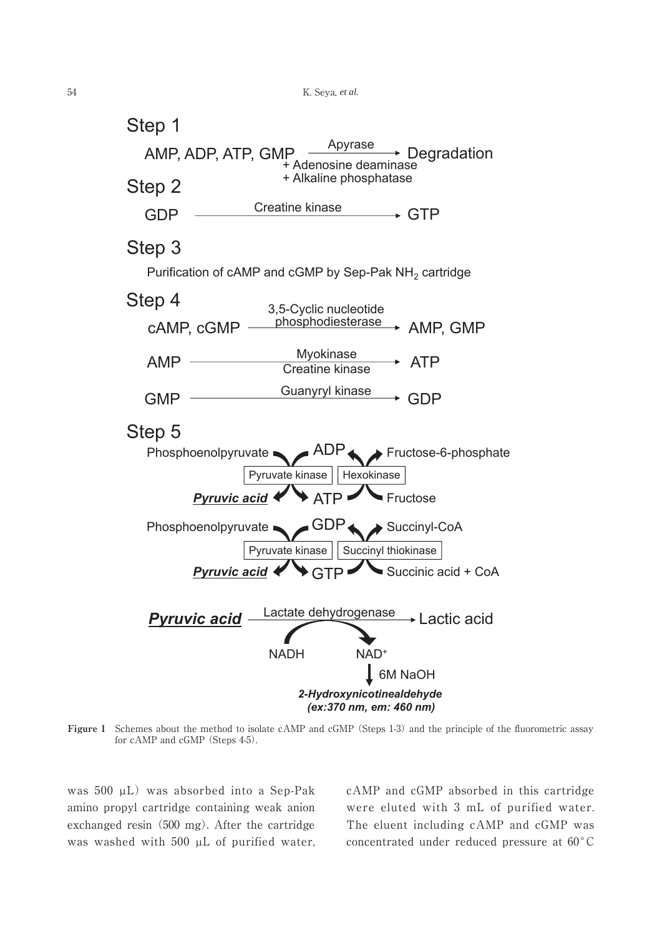

**Figure 1** Schemes about the method to isolate cAMP and cGMP (Steps 1-3) and the principle of the fluorometric assay for cAMP and cGMP (Steps 4-5).

was 500 µL) was absorbed into a Sep-Pak amino propyl cartridge containing weak anion exchanged resin (500 mg). After the cartridge was washed with 500  $\mu$ L of purified water, cAMP and cGMP absorbed in this cartridge were eluted with 3 mL of purified water. The eluent including cAMP and cGMP was concentrated under reduced pressure at  $60^{\circ}$ C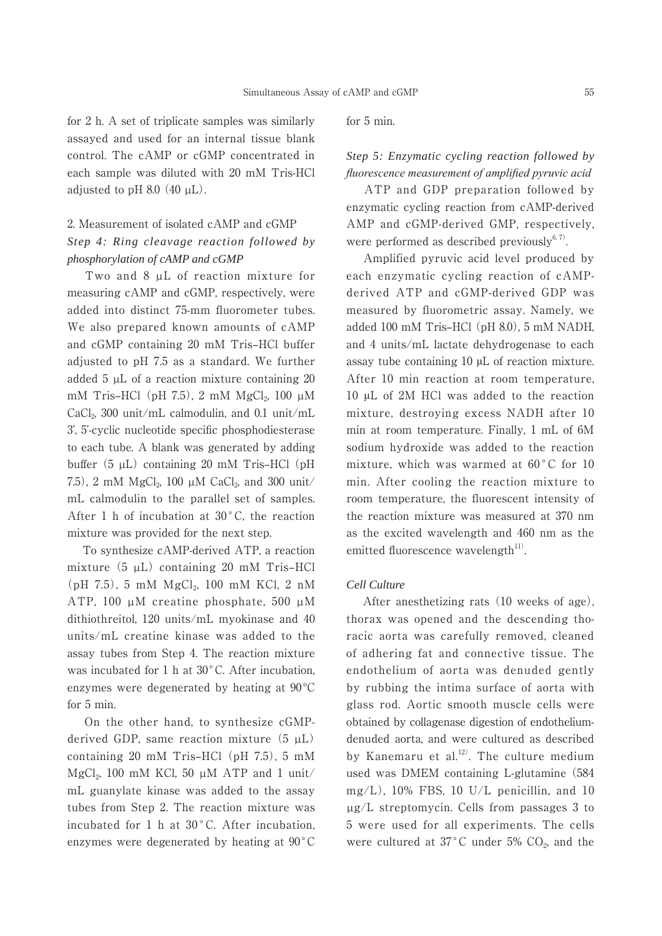for 2 h. A set of triplicate samples was similarly assayed and used for an internal tissue blank control. The cAMP or cGMP concentrated in each sample was diluted with 20 mM Tris-HCl adjusted to pH 8.0  $(40 \mu L)$ .

## 2. Measurement of isolated cAMP and cGMP *Step 4: Ring cleavage reaction followed by phosphorylation of cAMP and cGMP*

Two and 8  $\mu$ L of reaction mixture for measuring cAMP and cGMP, respectively, were added into distinct 75-mm fluorometer tubes. We also prepared known amounts of cAMP and cGMP containing 20 mM Tris-HCl buffer adjusted to pH 7.5 as a standard. We further added 5 µL of a reaction mixture containing 20 mM Tris–HCl (pH 7.5), 2 mM  $MgCl<sub>2</sub>$ , 100  $\mu$ M CaCl<sub>2</sub>, 300 unit/mL calmodulin, and 0.1 unit/mL 3', 5'-cyclic nucleotide specific phosphodiesterase to each tube. A blank was generated by adding buffer  $(5 \mu L)$  containing 20 mM Tris–HCl  $(pH)$ 7.5), 2 mM  $MgCl_2$ , 100 µM CaCl<sub>2</sub>, and 300 unit/ mL calmodulin to the parallel set of samples. After 1 h of incubation at  $30^{\circ}$ C, the reaction mixture was provided for the next step.

 To synthesize cAMP-derived ATP, a reaction mixture  $(5 \mu L)$  containing 20 mM Tris-HCl  $(pH 7.5)$ , 5 mM  $MgCl<sub>2</sub>$ , 100 mM KCl, 2 nM ATP, 100 µM creatine phosphate, 500 µM dithiothreitol, 120 units/mL myokinase and 40 units/mL creatine kinase was added to the assay tubes from Step 4. The reaction mixture was incubated for 1 h at  $30^{\circ}$ C. After incubation, enzymes were degenerated by heating at 90 ºC for 5 min.

 On the other hand, to synthesize cGMPderived GDP, same reaction mixture  $(5 \mu L)$ containing 20 mM Tris–HCl (pH  $7.5$ ), 5 mM MgCl<sub>2</sub>, 100 mM KCl, 50  $\mu$ M ATP and 1 unit/ mL guanylate kinase was added to the assay tubes from Step 2. The reaction mixture was incubated for 1 h at 30 °C. After incubation, enzymes were degenerated by heating at  $90^{\circ}$ C for 5 min.

## *Step 5: Enzymatic cycling reaction followed by fluorescence measurement of amplified pyruvic acid*

 ATP and GDP preparation followed by enzymatic cycling reaction from cAMP-derived AMP and cGMP-derived GMP, respectively, were performed as described previously<sup>6, 7)</sup>.

 Amplified pyruvic acid level produced by each enzymatic cycling reaction of cAMPderived ATP and cGMP-derived GDP was measured by fluorometric assay. Namely, we added 100 mM Tris-HCl (pH 8.0), 5 mM NADH, and 4 units/mL lactate dehydrogenase to each assay tube containing  $10 \mu L$  of reaction mixture. After 10 min reaction at room temperature, 10 ȝL of 2M HCl was added to the reaction mixture, destroying excess NADH after 10 min at room temperature. Finally, 1 mL of 6M sodium hydroxide was added to the reaction mixture, which was warmed at  $60^{\circ}$ C for 10 min. After cooling the reaction mixture to room temperature, the fluorescent intensity of the reaction mixture was measured at 370 nm as the excited wavelength and 460 nm as the emitted fluorescence wavelength $11$ <sup>11)</sup>.

#### *Cell Culture*

 After anesthetizing rats (10 weeks of age), thorax was opened and the descending thoracic aorta was carefully removed, cleaned of adhering fat and connective tissue. The endothelium of aorta was denuded gently by rubbing the intima surface of aorta with glass rod. Aortic smooth muscle cells were obtained by collagenase digestion of endotheliumdenuded aorta, and were cultured as described by Kanemaru et al.<sup>12)</sup>. The culture medium used was DMEM containing L-glutamine (584 mg/L), 10% FBS, 10 U/L penicillin, and 10 µg/L streptomycin. Cells from passages 3 to 5 were used for all experiments. The cells were cultured at  $37^{\circ}$ C under 5% CO<sub>2</sub>, and the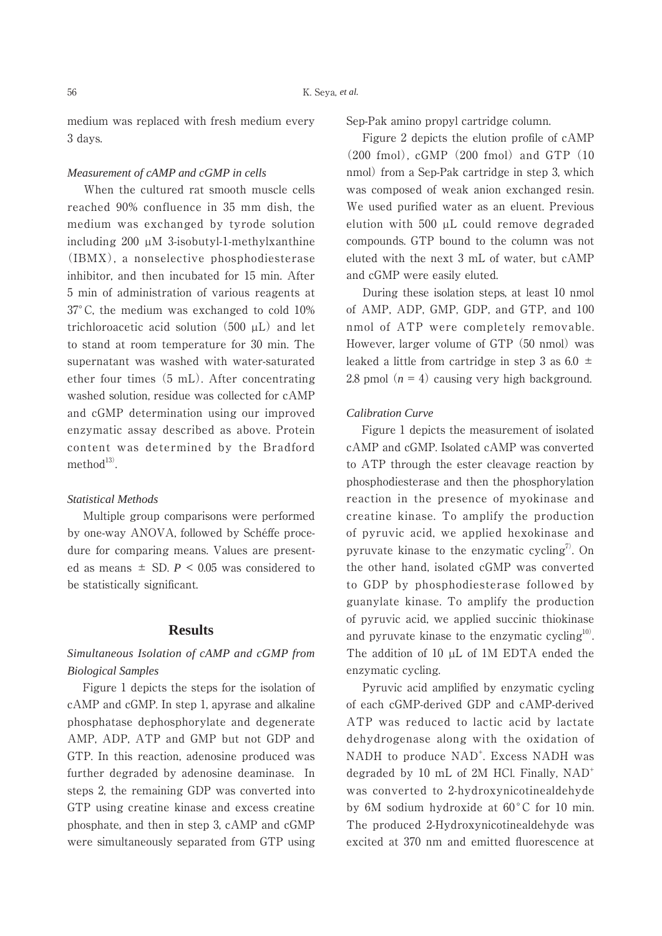medium was replaced with fresh medium every 3 days.

#### *Measurement of cAMP and cGMP in cells*

 When the cultured rat smooth muscle cells reached 90% confluence in 35 mm dish, the medium was exchanged by tyrode solution including 200 µM 3-isobutyl-1-methylxanthine (IBMX), a nonselective phosphodiesterase inhibitor, and then incubated for 15 min. After 5 min of administration of various reagents at 37°C, the medium was exchanged to cold 10% trichloroacetic acid solution (500 µL) and let to stand at room temperature for 30 min. The supernatant was washed with water-saturated ether four times (5 mL). After concentrating washed solution, residue was collected for cAMP and cGMP determination using our improved enzymatic assay described as above. Protein content was determined by the Bradford method $13$ ).

#### *Statistical Methods*

 Multiple group comparisons were performed by one-way ANOVA, followed by Schéffe procedure for comparing means. Values are presented as means  $\pm$  SD,  $P \leq 0.05$  was considered to be statistically significant.

## **Results**

## *Simultaneous Isolation of cAMP and cGMP from Biological Samples*

 Figure 1 depicts the steps for the isolation of cAMP and cGMP. In step 1, apyrase and alkaline phosphatase dephosphorylate and degenerate AMP, ADP, ATP and GMP but not GDP and GTP. In this reaction, adenosine produced was further degraded by adenosine deaminase. In steps 2, the remaining GDP was converted into GTP using creatine kinase and excess creatine phosphate, and then in step 3, cAMP and cGMP were simultaneously separated from GTP using Sep-Pak amino propyl cartridge column.

 Figure 2 depicts the elution profile of cAMP (200 fmol), cGMP (200 fmol) and GTP (10 nmol) from a Sep-Pak cartridge in step 3, which was composed of weak anion exchanged resin. We used purified water as an eluent. Previous elution with 500 µL could remove degraded compounds. GTP bound to the column was not eluted with the next 3 mL of water, but cAMP and cGMP were easily eluted.

 During these isolation steps, at least 10 nmol of AMP, ADP, GMP, GDP, and GTP, and 100 nmol of ATP were completely removable. However, larger volume of GTP (50 nmol) was leaked a little from cartridge in step 3 as  $6.0 \pm$ 2.8 pmol  $(n = 4)$  causing very high background.

#### *Calibration Curve*

 Figure 1 depicts the measurement of isolated cAMP and cGMP. Isolated cAMP was converted to ATP through the ester cleavage reaction by phosphodiesterase and then the phosphorylation reaction in the presence of myokinase and creatine kinase. To amplify the production of pyruvic acid, we applied hexokinase and pyruvate kinase to the enzymatic cycling<sup>7)</sup>. On the other hand, isolated cGMP was converted to GDP by phosphodiesterase followed by guanylate kinase. To amplify the production of pyruvic acid, we applied succinic thiokinase and pyruvate kinase to the enzymatic cycling $10$ . The addition of 10  $\mu$ L of 1M EDTA ended the enzymatic cycling.

 Pyruvic acid amplified by enzymatic cycling of each cGMP-derived GDP and cAMP-derived ATP was reduced to lactic acid by lactate dehydrogenase along with the oxidation of NADH to produce NAD<sup>+</sup>. Excess NADH was degraded by 10 mL of 2M HCl. Finally,  $NAD^+$ was converted to 2-hydroxynicotinealdehyde by 6M sodium hydroxide at 60°C for 10 min. The produced 2-Hydroxynicotinealdehyde was excited at 370 nm and emitted fluorescence at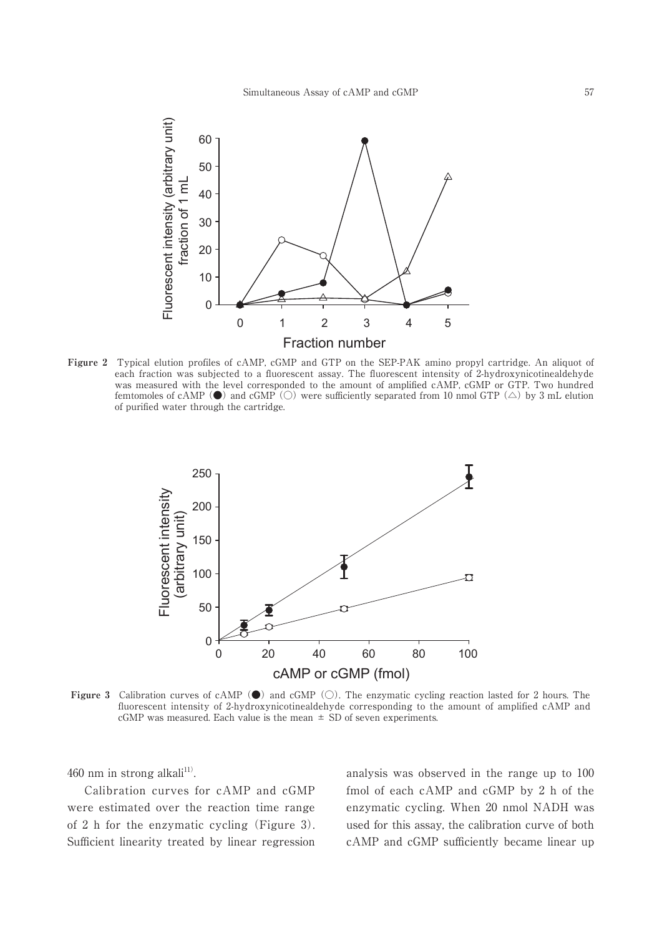

**Figure 2** Typical elution profiles of cAMP, cGMP and GTP on the SEP-PAK amino propyl cartridge. An aliquot of each fraction was subjected to a fluorescent assay. The fluorescent intensity of 2-hydroxynicotinealdehyde was measured with the level corresponded to the amount of amplified cAMP, cGMP or GTP. Two hundred femtomoles of cAMP ( $\bullet$ ) and cGMP ( $\circ$ ) were sufficiently separated from 10 nmol GTP ( $\triangle$ ) by 3 mL elution of purified water through the cartridge.



**Figure 3** Calibration curves of cAMP  $\bullet$  and cGMP  $\circ$ . The enzymatic cycling reaction lasted for 2 hours. The fluorescent intensity of 2-hydroxynicotinealdehyde corresponding to the amount of amplified cAMP and cGMP was measured. Each value is the mean  $\pm$  SD of seven experiments.

460 nm in strong alkali $111$ .

 Calibration curves for cAMP and cGMP were estimated over the reaction time range of 2 h for the enzymatic cycling (Figure 3). Sufficient linearity treated by linear regression analysis was observed in the range up to 100 fmol of each cAMP and cGMP by 2 h of the enzymatic cycling. When 20 nmol NADH was used for this assay, the calibration curve of both cAMP and cGMP sufficiently became linear up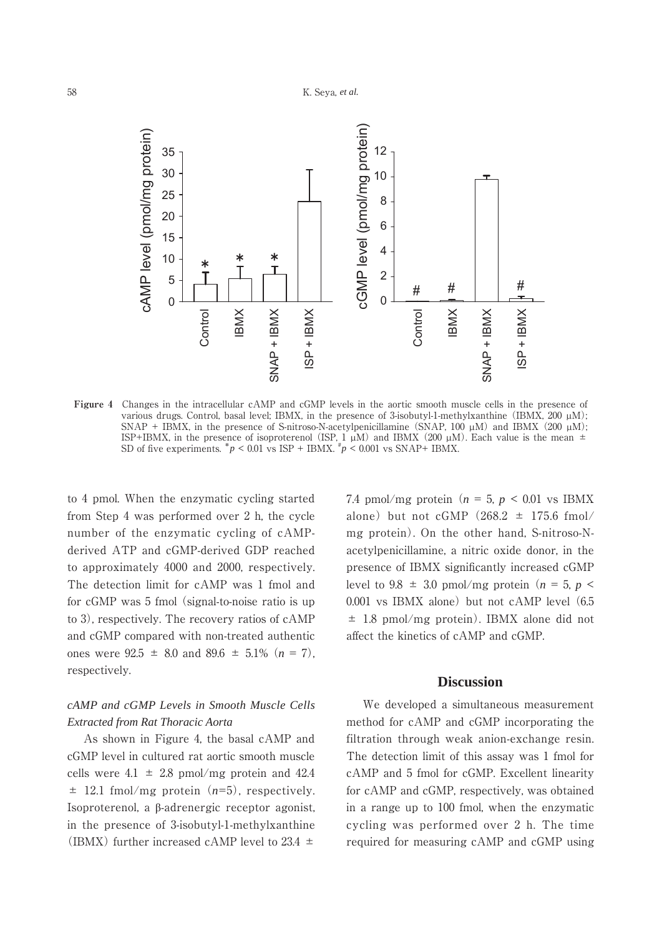

**Figure 4** Changes in the intracellular cAMP and cGMP levels in the aortic smooth muscle cells in the presence of various drugs. Control, basal level; IBMX, in the presence of 3-isobutyl-1-methylxanthine (IBMX, 200  $\mu$ M); SNAP + IBMX, in the presence of S-nitroso-N-acetylpenicillamine (SNAP, 100  $\mu$ M) and IBMX (200  $\mu$ M); ISP+IBMX, in the presence of isoproterenol (ISP,  $1 \mu M$ ) and IBMX (200  $\mu$ M). Each value is the mean  $\pm$ SD of five experiments.  $p < 0.01$  vs ISP + IBMX.  $p < 0.001$  vs SNAP+ IBMX.

to 4 pmol. When the enzymatic cycling started from Step 4 was performed over 2 h, the cycle number of the enzymatic cycling of cAMPderived ATP and cGMP-derived GDP reached to approximately 4000 and 2000, respectively. The detection limit for cAMP was 1 fmol and for cGMP was 5 fmol (signal-to-noise ratio is up to 3), respectively. The recovery ratios of cAMP and cGMP compared with non-treated authentic ones were  $92.5 \pm 8.0$  and  $89.6 \pm 5.1\%$  ( $n = 7$ ). respectively.

## *cAMP and cGMP Levels in Smooth Muscle Cells Extracted from Rat Thoracic Aorta*

 As shown in Figure 4, the basal cAMP and cGMP level in cultured rat aortic smooth muscle cells were  $4.1 \pm 2.8$  pmol/mg protein and  $42.4$ ± 12.1 fmol/mg protein (*n*=5), respectively. Isoproterenol, a  $\beta$ -adrenergic receptor agonist, in the presence of 3-isobutyl-1-methylxanthine (IBMX) further increased cAMP level to 23.4  $\pm$ 

7.4 pmol/mg protein  $(n = 5, p < 0.01$  vs IBMX alone) but not cGMP  $(268.2 \pm 175.6 \text{ fmol}/$ mg protein). On the other hand, S-nitroso-Nacetylpenicillamine, a nitric oxide donor, in the presence of IBMX significantly increased cGMP level to 9.8  $\pm$  3.0 pmol/mg protein ( $n = 5$ ,  $p \le$ 0.001 vs IBMX alone) but not cAMP level (6.5  $\pm$  1.8 pmol/mg protein). IBMX alone did not affect the kinetics of cAMP and cGMP.

## **Discussion**

 We developed a simultaneous measurement method for cAMP and cGMP incorporating the filtration through weak anion-exchange resin. The detection limit of this assay was 1 fmol for cAMP and 5 fmol for cGMP. Excellent linearity for cAMP and cGMP, respectively, was obtained in a range up to 100 fmol, when the enzymatic cycling was performed over 2 h. The time required for measuring cAMP and cGMP using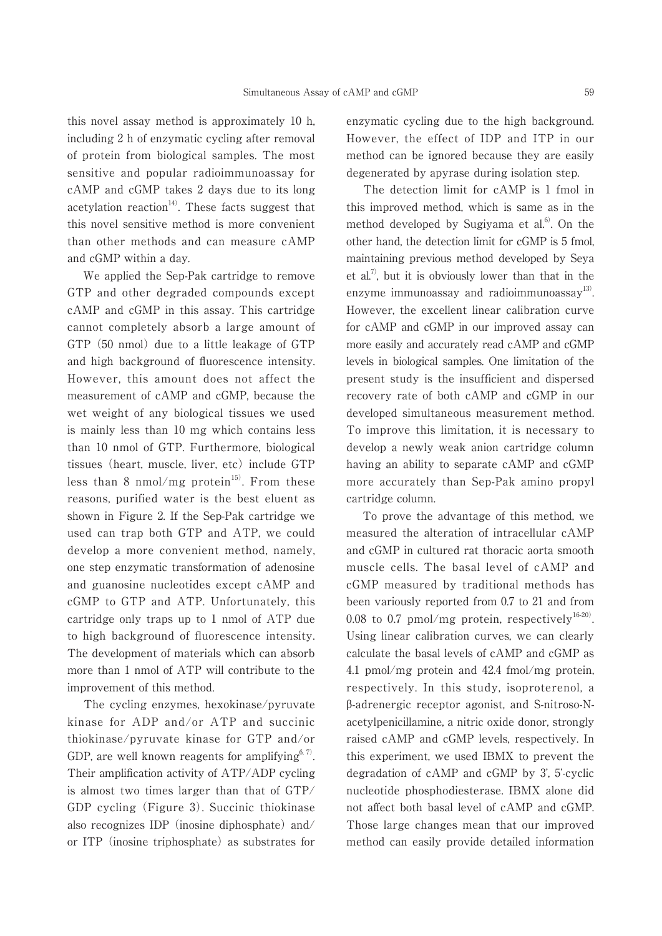this novel assay method is approximately 10 h, including 2 h of enzymatic cycling after removal of protein from biological samples. The most sensitive and popular radioimmunoassay for cAMP and cGMP takes 2 days due to its long acetylation reaction $14$ <sup>14</sup>. These facts suggest that this novel sensitive method is more convenient than other methods and can measure cAMP and cGMP within a day.

 We applied the Sep-Pak cartridge to remove GTP and other degraded compounds except cAMP and cGMP in this assay. This cartridge cannot completely absorb a large amount of GTP (50 nmol) due to a little leakage of GTP and high background of fluorescence intensity. However, this amount does not affect the measurement of cAMP and cGMP, because the wet weight of any biological tissues we used is mainly less than 10 mg which contains less than 10 nmol of GTP. Furthermore, biological tissues (heart, muscle, liver, etc) include GTP less than 8 nmol/mg protein<sup>15)</sup>. From these reasons, purified water is the best eluent as shown in Figure 2. If the Sep-Pak cartridge we used can trap both GTP and ATP, we could develop a more convenient method, namely, one step enzymatic transformation of adenosine and guanosine nucleotides except cAMP and cGMP to GTP and ATP. Unfortunately, this cartridge only traps up to 1 nmol of ATP due to high background of fluorescence intensity. The development of materials which can absorb more than 1 nmol of ATP will contribute to the improvement of this method.

 The cycling enzymes, hexokinase/pyruvate kinase for ADP and/or ATP and succinic thiokinase/pyruvate kinase for GTP and/or GDP, are well known reagents for amplifying<sup>6, 7)</sup>. Their amplification activity of ATP/ADP cycling is almost two times larger than that of GTP/ GDP cycling (Figure 3). Succinic thiokinase also recognizes IDP (inosine diphosphate) and/ or ITP (inosine triphosphate) as substrates for enzymatic cycling due to the high background. However, the effect of IDP and ITP in our method can be ignored because they are easily degenerated by apyrase during isolation step.

 The detection limit for cAMP is 1 fmol in this improved method, which is same as in the method developed by Sugiyama et al.<sup>6)</sup>. On the other hand, the detection limit for cGMP is 5 fmol, maintaining previous method developed by Seya et al.<sup>7</sup>, but it is obviously lower than that in the enzyme immunoassay and radioimmunoassay $^{13)}$ . However, the excellent linear calibration curve for cAMP and cGMP in our improved assay can more easily and accurately read cAMP and cGMP levels in biological samples. One limitation of the present study is the insufficient and dispersed recovery rate of both cAMP and cGMP in our developed simultaneous measurement method. To improve this limitation, it is necessary to develop a newly weak anion cartridge column having an ability to separate cAMP and cGMP more accurately than Sep-Pak amino propyl cartridge column.

 To prove the advantage of this method, we measured the alteration of intracellular cAMP and cGMP in cultured rat thoracic aorta smooth muscle cells. The basal level of cAMP and cGMP measured by traditional methods has been variously reported from 0.7 to 21 and from 0.08 to 0.7 pmol/mg protein, respectively<sup>16-20)</sup>. Using linear calibration curves, we can clearly calculate the basal levels of cAMP and cGMP as 4.1 pmol/mg protein and 42.4 fmol/mg protein, respectively. In this study, isoproterenol, a ȕ-adrenergic receptor agonist, and S-nitroso-Nacetylpenicillamine, a nitric oxide donor, strongly raised cAMP and cGMP levels, respectively. In this experiment, we used IBMX to prevent the degradation of cAMP and cGMP by 3', 5'-cyclic nucleotide phosphodiesterase. IBMX alone did not affect both basal level of cAMP and cGMP. Those large changes mean that our improved method can easily provide detailed information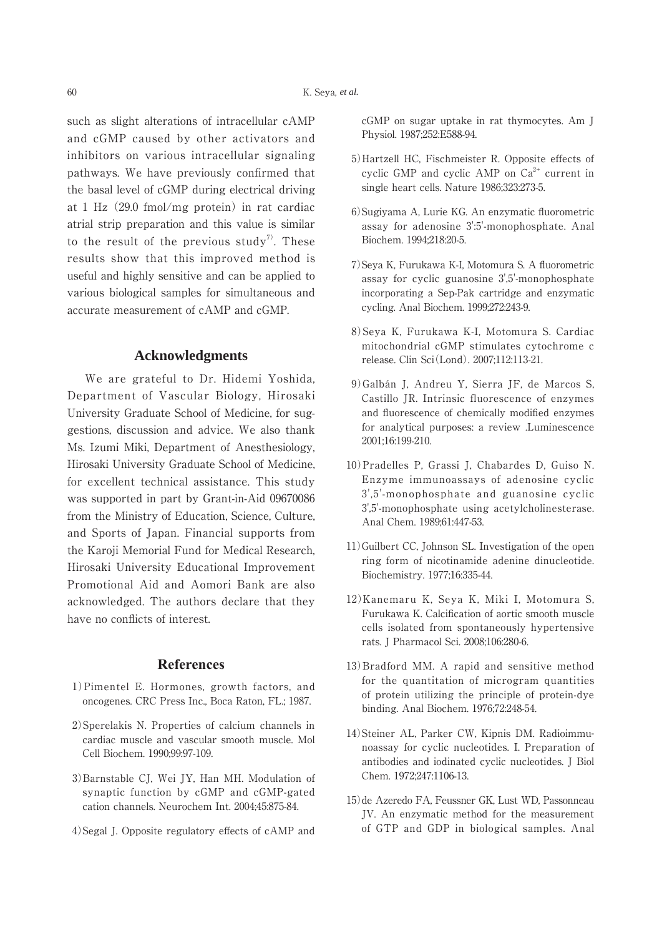such as slight alterations of intracellular cAMP and cGMP caused by other activators and inhibitors on various intracellular signaling pathways. We have previously confirmed that the basal level of cGMP during electrical driving at 1 Hz (29.0 fmol/mg protein) in rat cardiac atrial strip preparation and this value is similar to the result of the previous study<sup>7)</sup>. These results show that this improved method is useful and highly sensitive and can be applied to various biological samples for simultaneous and accurate measurement of cAMP and cGMP.

## **Acknowledgments**

 We are grateful to Dr. Hidemi Yoshida, Department of Vascular Biology, Hirosaki University Graduate School of Medicine, for suggestions, discussion and advice. We also thank Ms. Izumi Miki, Department of Anesthesiology, Hirosaki University Graduate School of Medicine, for excellent technical assistance. This study was supported in part by Grant-in-Aid 09670086 from the Ministry of Education, Science, Culture, and Sports of Japan. Financial supports from the Karoji Memorial Fund for Medical Research, Hirosaki University Educational Improvement Promotional Aid and Aomori Bank are also acknowledged. The authors declare that they have no conflicts of interest.

## **References**

- 1)Pimentel E. Hormones, growth factors, and oncogenes. CRC Press Inc., Boca Raton, FL.; 1987.
- 2)Sperelakis N. Properties of calcium channels in cardiac muscle and vascular smooth muscle. Mol Cell Biochem. 1990;99:97-109.
- 3)Barnstable CJ, Wei JY, Han MH. Modulation of synaptic function by cGMP and cGMP-gated cation channels. Neurochem Int. 2004;45:875-84.
- 4)Segal J. Opposite regulatory effects of cAMP and

cGMP on sugar uptake in rat thymocytes. Am J Physiol. 1987;252:E588-94.

- 5)Hartzell HC, Fischmeister R. Opposite effects of cyclic GMP and cyclic AMP on  $Ca^{2+}$  current in single heart cells. Nature 1986;323:273-5.
- 6)Sugiyama A, Lurie KG. An enzymatic fluorometric assay for adenosine 3':5'-monophosphate. Anal Biochem. 1994;218:20-5.
- 7)Seya K, Furukawa K-I, Motomura S. A fluorometric assay for cyclic guanosine 3',5'-monophosphate incorporating a Sep-Pak cartridge and enzymatic cycling. Anal Biochem. 1999;272:243-9.
- 8)Seya K, Furukawa K-I, Motomura S. Cardiac mitochondrial cGMP stimulates cytochrome c release. Clin Sci(Lond). 2007;112:113-21.
- 9)Galbán J, Andreu Y, Sierra JF, de Marcos S, Castillo JR. Intrinsic fluorescence of enzymes and fluorescence of chemically modified enzymes for analytical purposes: a review .Luminescence 2001;16:199-210.
- 10)Pradelles P, Grassi J, Chabardes D, Guiso N. Enzyme immunoassays of adenosine cyclic 3',5'-monophosphate and guanosine cyclic 3',5'-monophosphate using acetylcholinesterase. Anal Chem. 1989;61:447-53.
- 11)Guilbert CC, Johnson SL. Investigation of the open ring form of nicotinamide adenine dinucleotide. Biochemistry. 1977;16:335-44.
- 12)Kanemaru K, Seya K, Miki I, Motomura S, Furukawa K. Calcification of aortic smooth muscle cells isolated from spontaneously hypertensive rats. J Pharmacol Sci. 2008;106:280-6.
- 13)Bradford MM. A rapid and sensitive method for the quantitation of microgram quantities of protein utilizing the principle of protein-dye binding. Anal Biochem. 1976;72:248-54.
- 14)Steiner AL, Parker CW, Kipnis DM. Radioimmunoassay for cyclic nucleotides. I. Preparation of antibodies and iodinated cyclic nucleotides. J Biol Chem. 1972;247:1106-13.
- 15)de Azeredo FA, Feussner GK, Lust WD, Passonneau JV. An enzymatic method for the measurement of GTP and GDP in biological samples. Anal